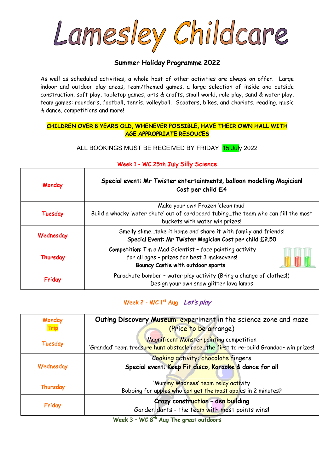Lamesley Childcare

## Summer Holiday Programme 2022

As well as scheduled activities, a whole host of other activities are always on offer. Large indoor and outdoor play areas, team/themed games, a large selection of inside and outside construction, soft play, tabletop games, arts & crafts, small world, role play, sand & water play, team games: rounder's, football, tennis, volleyball. Scooters, bikes, and chariots, reading, music & dance, competitions and more!

#### CHILDREN OVER 8 YEARS OLD, WHENEVER POSSIBLE, HAVE THEIR OWN HALL WITH AGE APPROPRIATE RESOUCES

ALL BOOKINGS MUST BE RECEIVED BY FRIDAY 15 July 2022

## Monday Special event: Mr Twister entertainments, balloon modelling Magician! Cost per child £4 Tuesday Make your own Frozen 'clean mud' Build a whacky 'water chute' out of cardboard tubing…the team who can fill the most buckets with water win prizes! Wednesday Smelly slime...take it home and share it with family and friends! Special Event: Mr Twister Magician Cost per child £2.50 **Thursday** Competition: I'm a Mad Scientist – face painting activity for all ages – prizes for best 3 makeovers! Bouncy Castle with outdoor sports Friday Parachute bomber - water play activity (Bring a change of clothes!) Design your own snow glitter lava lamps

#### Week 1 - WC 25th July Silly Science

## Week 2 - WC 1<sup>st</sup> Aug Let's play

| Monday    | Outing Discovery Museum: experiment in the science zone and maze                                                                 |
|-----------|----------------------------------------------------------------------------------------------------------------------------------|
|           | (Price to be arrange)                                                                                                            |
| Tuesday   | Magnificent Monster painting competition<br>'Grandad' team treasure hunt obstacle racethe first to re-build Grandad- win prizes! |
| Wednesday | Cooking activity: chocolate fingers                                                                                              |
|           | Special event: Keep Fit disco, Karaoke & dance for all                                                                           |
| Thursday  | 'Mummy Madness' team relay activity                                                                                              |
|           | Bobbing for apples who can get the most apples in 2 minutes?                                                                     |
| Friday    | Crazy construction - den building<br>Garden darts - the team with most points wins!                                              |

Week  $3$  - WC  $8<sup>th</sup>$  Aug The great outdoors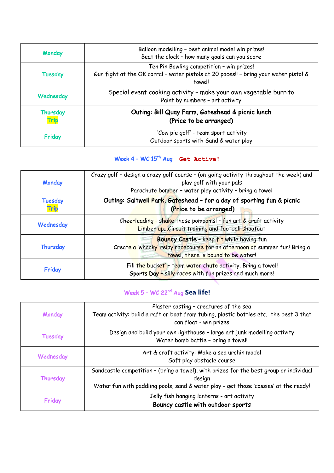| Monday           | Balloon modelling - best animal model win prizes!<br>Beat the clock - how many goals can you score                                          |
|------------------|---------------------------------------------------------------------------------------------------------------------------------------------|
| Tuesday          | Ten Pin Bowling competition - win prizes!<br>Gun fight at the OK corral - water pistols at 20 paces!! - bring your water pistol &<br>towel! |
| Wednesday        | Special event cooking activity - make your own vegetable burrito<br>Paint by numbers - art activity                                         |
| Thursday<br>Trip | Outing: Bill Quay Farm, Gateshead & picnic lunch<br>(Price to be arranged)                                                                  |
| Friday           | 'Cow pie golf' - team sport activity<br>Outdoor sports with Sand & water play                                                               |

# Week 4 - WC 15<sup>th</sup> Aug Get Active!

| Monday                 | Crazy golf - design a crazy golf course - (on-going activity throughout the week) and<br>play golf with your pals<br>Parachute bomber - water play activity - bring a towel |
|------------------------|-----------------------------------------------------------------------------------------------------------------------------------------------------------------------------|
| <b>Tuesday</b><br>Trip | Outing: Saltwell Park, Gateshead - for a day of sporting fun & picnic<br>(Price to be arranged)                                                                             |
| Wednesday              | Cheerleading - shake those pompoms! - fun art $\&$ craft activity<br>Limber up Circuit training and football shootout                                                       |
| Thursday               | Bouncy Castle - keep fit while having fun<br>Create a 'whacky' relay racecourse for an afternoon of summer fun! Bring a<br>towel, there is bound to be water!               |
| Friday                 | 'Fill the bucket' - team water chute activity. Bring a towel!<br>Sports Day - silly races with fun prizes and much more!                                                    |

## Week 5 – WC 22nd Aug **Sea life!**

| Monday         | Plaster casting - creatures of the sea<br>Team activity: build a raft or boat from tubing, plastic bottles etc. the best 3 that<br>can float - win prizes                                |
|----------------|------------------------------------------------------------------------------------------------------------------------------------------------------------------------------------------|
| <b>Tuesday</b> | Design and build your own lighthouse - large art junk modelling activity<br>Water bomb battle - bring a towel!                                                                           |
| Wednesday      | Art & craft activity: Make a sea urchin model<br>Soft play obstacle course                                                                                                               |
| Thursday       | Sandcastle competition - (bring a towel), with prizes for the best group or individual<br>design<br>Water fun with paddling pools, sand & water play - get those 'cossies' at the ready! |
| Friday         | Jelly fish hanging lanterns - art activity<br>Bouncy castle with outdoor sports                                                                                                          |